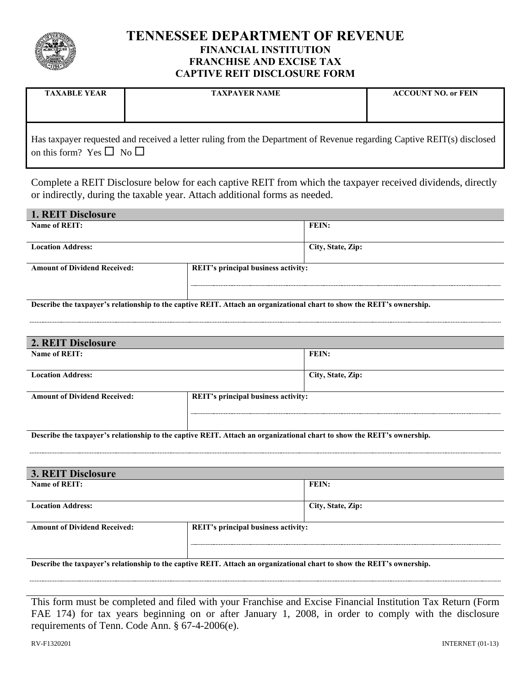

# **TENNESSEE DEPARTMENT OF REVENUE FINANCIAL INSTITUTION FRANCHISE AND EXCISE TAX CAPTIVE REIT DISCLOSURE FORM**

| <b>TAXABLE YEAR</b>                                                                                                    | <b>TAXPAYER NAME</b> | <b>ACCOUNT NO. or FEIN</b> |  |
|------------------------------------------------------------------------------------------------------------------------|----------------------|----------------------------|--|
|                                                                                                                        |                      |                            |  |
|                                                                                                                        |                      |                            |  |
| Has taxpayer requested and received a letter ruling from the Department of Revenue regarding Captive REIT(s) disclosed |                      |                            |  |

on this form? Yes  $\Box$  No  $\Box$ 

Complete a REIT Disclosure below for each captive REIT from which the taxpayer received dividends, directly or indirectly, during the taxable year. Attach additional forms as needed.

| <b>1. REIT Disclosure</b>           |                                     |                   |  |  |
|-------------------------------------|-------------------------------------|-------------------|--|--|
| Name of REIT:                       | FEIN:                               |                   |  |  |
|                                     |                                     |                   |  |  |
| <b>Location Address:</b>            |                                     | City, State, Zip: |  |  |
|                                     |                                     |                   |  |  |
| <b>Amount of Dividend Received:</b> | REIT's principal business activity: |                   |  |  |
|                                     |                                     |                   |  |  |

**Describe the taxpayer's relationship to the captive REIT. Attach an organizational chart to show the REIT's ownership.**

| 2. REIT Disclosure                  |                                     |                   |  |  |
|-------------------------------------|-------------------------------------|-------------------|--|--|
| Name of REIT:                       |                                     | <b>FEIN:</b>      |  |  |
|                                     |                                     |                   |  |  |
| <b>Location Address:</b>            |                                     | City, State, Zip: |  |  |
|                                     |                                     |                   |  |  |
| <b>Amount of Dividend Received:</b> | REIT's principal business activity: |                   |  |  |
|                                     |                                     |                   |  |  |
|                                     |                                     |                   |  |  |

**Describe the taxpayer's relationship to the captive REIT. Attach an organizational chart to show the REIT's ownership.**

| <b>3. REIT Disclosure</b>           |                                     |                   |  |  |
|-------------------------------------|-------------------------------------|-------------------|--|--|
| Name of REIT:                       | <b>FEIN:</b>                        |                   |  |  |
|                                     |                                     |                   |  |  |
| <b>Location Address:</b>            |                                     | City, State, Zip: |  |  |
|                                     |                                     |                   |  |  |
| <b>Amount of Dividend Received:</b> | REIT's principal business activity: |                   |  |  |
|                                     |                                     |                   |  |  |
|                                     |                                     |                   |  |  |
|                                     |                                     |                   |  |  |

**Describe the taxpayer's relationship to the captive REIT. Attach an organizational chart to show the REIT's ownership.**

This form must be completed and filed with your Franchise and Excise Financial Institution Tax Return (Form FAE 174) for tax years beginning on or after January 1, 2008, in order to comply with the disclosure requirements of Tenn. Code Ann. § 67-4-2006(e).